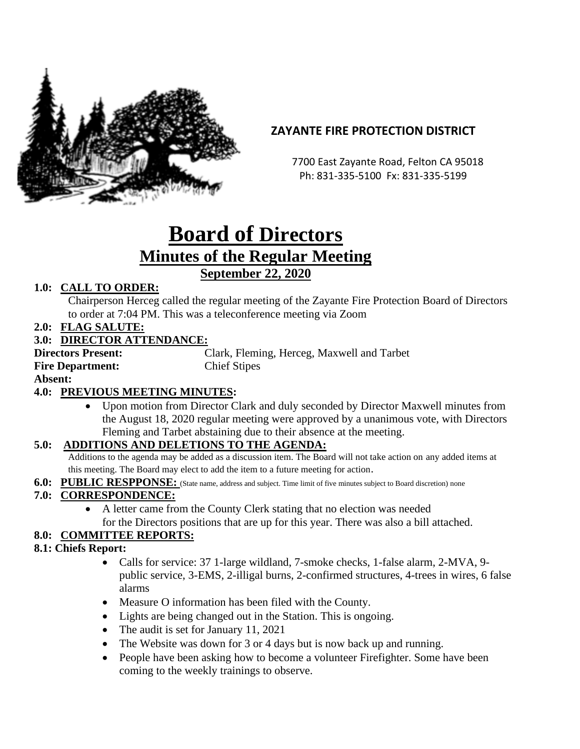

# **ZAYANTE FIRE PROTECTION DISTRICT**

 7700 East Zayante Road, Felton CA 95018 Ph: 831-335-5100 Fx: 831-335-5199

# **Board of Directors Minutes of the Regular Meeting September 22, 2020**

## **1.0: CALL TO ORDER:**

Chairperson Herceg called the regular meeting of the Zayante Fire Protection Board of Directors to order at 7:04 PM. This was a teleconference meeting via Zoom

**2.0: FLAG SALUTE:**

## **3.0: DIRECTOR ATTENDANCE:**

**Fire Department:** Chief Stipes

**Directors Present:** Clark, Fleming, Herceg, Maxwell and Tarbet

**Absent:** 

## **4.0: PREVIOUS MEETING MINUTES:**

• Upon motion from Director Clark and duly seconded by Director Maxwell minutes from the August 18, 2020 regular meeting were approved by a unanimous vote, with Directors Fleming and Tarbet abstaining due to their absence at the meeting.

#### **5.0: ADDITIONS AND DELETIONS TO THE AGENDA:**

Additions to the agenda may be added as a discussion item. The Board will not take action on any added items at this meeting. The Board may elect to add the item to a future meeting for action.

**6.0: PUBLIC RESPPONSE:** (State name, address and subject. Time limit of five minutes subject to Board discretion) none

#### **7.0: CORRESPONDENCE:**

• A letter came from the County Clerk stating that no election was needed for the Directors positions that are up for this year. There was also a bill attached.

## **8.0: COMMITTEE REPORTS:**

#### **8.1: Chiefs Report:**

- Calls for service: 37 1-large wildland, 7-smoke checks, 1-false alarm, 2-MVA, 9public service, 3-EMS, 2-illigal burns, 2-confirmed structures, 4-trees in wires, 6 false alarms
- Measure O information has been filed with the County.
- Lights are being changed out in the Station. This is ongoing.
- The audit is set for January 11, 2021
- The Website was down for 3 or 4 days but is now back up and running.
- People have been asking how to become a volunteer Firefighter. Some have been coming to the weekly trainings to observe.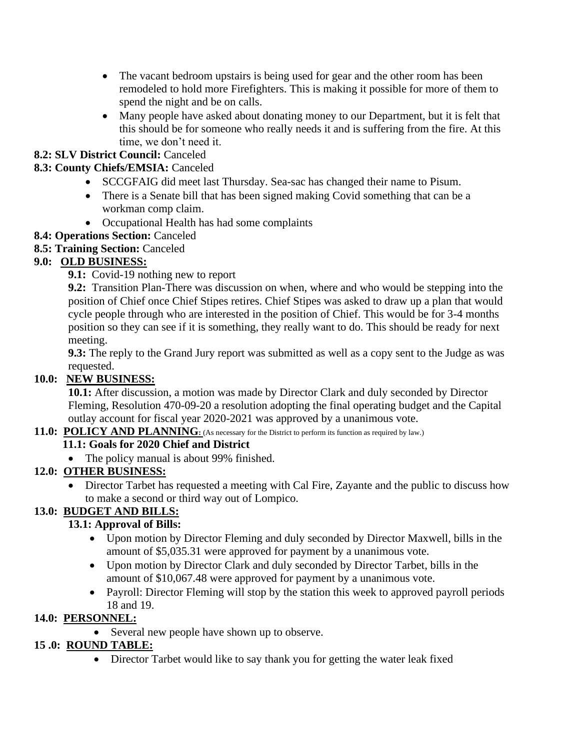- The vacant bedroom upstairs is being used for gear and the other room has been remodeled to hold more Firefighters. This is making it possible for more of them to spend the night and be on calls.
- Many people have asked about donating money to our Department, but it is felt that this should be for someone who really needs it and is suffering from the fire. At this time, we don't need it.

## **8.2: SLV District Council:** Canceled

## **8.3: County Chiefs/EMSIA:** Canceled

- SCCGFAIG did meet last Thursday. Sea-sac has changed their name to Pisum.
- There is a Senate bill that has been signed making Covid something that can be a workman comp claim.
- Occupational Health has had some complaints

## **8.4: Operations Section:** Canceled

**8.5: Training Section:** Canceled

## **9.0: OLD BUSINESS:**

**9.1:** Covid-19 nothing new to report

**9.2:** Transition Plan-There was discussion on when, where and who would be stepping into the position of Chief once Chief Stipes retires. Chief Stipes was asked to draw up a plan that would cycle people through who are interested in the position of Chief. This would be for 3-4 months position so they can see if it is something, they really want to do. This should be ready for next meeting.

**9.3:** The reply to the Grand Jury report was submitted as well as a copy sent to the Judge as was requested.

## **10.0: NEW BUSINESS:**

**10.1:** After discussion, a motion was made by Director Clark and duly seconded by Director Fleming, Resolution 470-09-20 a resolution adopting the final operating budget and the Capital outlay account for fiscal year 2020-2021 was approved by a unanimous vote.

#### **11.0: POLICY AND PLANNING:** (As necessary for the District to perform its function as required by law.)

#### **11.1: Goals for 2020 Chief and District**

• The policy manual is about 99% finished.

## **12.0: OTHER BUSINESS:**

• Director Tarbet has requested a meeting with Cal Fire, Zayante and the public to discuss how to make a second or third way out of Lompico.

## **13.0: BUDGET AND BILLS:**

## **13.1: Approval of Bills:**

- Upon motion by Director Fleming and duly seconded by Director Maxwell, bills in the amount of \$5,035.31 were approved for payment by a unanimous vote.
- Upon motion by Director Clark and duly seconded by Director Tarbet, bills in the amount of \$10,067.48 were approved for payment by a unanimous vote.
- Payroll: Director Fleming will stop by the station this week to approved payroll periods 18 and 19.

#### **14.0: PERSONNEL:**

• Several new people have shown up to observe.

## **15 .0: ROUND TABLE:**

• Director Tarbet would like to say thank you for getting the water leak fixed